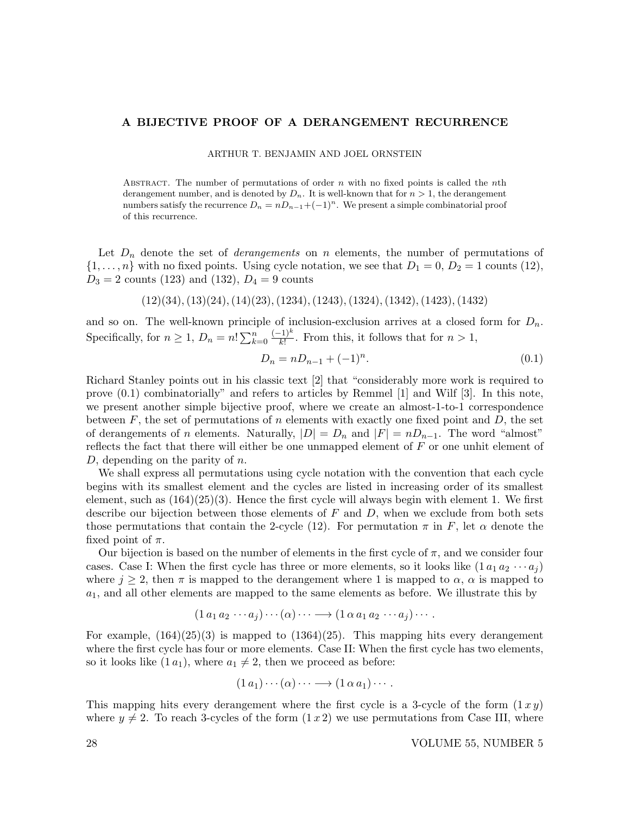## A BIJECTIVE PROOF OF A DERANGEMENT RECURRENCE

ARTHUR T. BENJAMIN AND JOEL ORNSTEIN

ABSTRACT. The number of permutations of order  $n$  with no fixed points is called the nth derangement number, and is denoted by  $D_n$ . It is well-known that for  $n > 1$ , the derangement numbers satisfy the recurrence  $D_n = nD_{n-1} + (-1)^n$ . We present a simple combinatorial proof of this recurrence.

Let  $D_n$  denote the set of *derangements* on n elements, the number of permutations of  $\{1, \ldots, n\}$  with no fixed points. Using cycle notation, we see that  $D_1 = 0, D_2 = 1$  counts (12),  $D_3 = 2$  counts (123) and (132),  $D_4 = 9$  counts

 $(12)(34), (13)(24), (14)(23), (1234), (1243), (1324), (1342), (1423), (1432)$ 

and so on. The well-known principle of inclusion-exclusion arrives at a closed form for  $D_n$ . Specifically, for  $n \geq 1$ ,  $D_n = n! \sum_{k=0}^n$  $(-1)^k$  $\frac{(-1)^n}{k!}$ . From this, it follows that for  $n > 1$ ,

$$
D_n = nD_{n-1} + (-1)^n. \tag{0.1}
$$

Richard Stanley points out in his classic text [2] that "considerably more work is required to prove (0.1) combinatorially" and refers to articles by Remmel [1] and Wilf [3]. In this note, we present another simple bijective proof, where we create an almost-1-to-1 correspondence between F, the set of permutations of n elements with exactly one fixed point and D, the set of derangements of n elements. Naturally,  $|D| = D_n$  and  $|F| = nD_{n-1}$ . The word "almost" reflects the fact that there will either be one unmapped element of  $F$  or one unhit element of D, depending on the parity of  $n$ .

We shall express all permutations using cycle notation with the convention that each cycle begins with its smallest element and the cycles are listed in increasing order of its smallest element, such as  $(164)(25)(3)$ . Hence the first cycle will always begin with element 1. We first describe our bijection between those elements of  $F$  and  $D$ , when we exclude from both sets those permutations that contain the 2-cycle (12). For permutation  $\pi$  in F, let  $\alpha$  denote the fixed point of  $\pi$ .

Our bijection is based on the number of elements in the first cycle of  $\pi$ , and we consider four cases. Case I: When the first cycle has three or more elements, so it looks like  $(1 a_1 a_2 \cdots a_j)$ where  $j \ge 2$ , then  $\pi$  is mapped to the derangement where 1 is mapped to  $\alpha$ ,  $\alpha$  is mapped to  $a_1$ , and all other elements are mapped to the same elements as before. We illustrate this by

$$
(1 a_1 a_2 \cdots a_j) \cdots (\alpha) \cdots \longrightarrow (1 \alpha a_1 a_2 \cdots a_j) \cdots.
$$

For example,  $(164)(25)(3)$  is mapped to  $(1364)(25)$ . This mapping hits every derangement where the first cycle has four or more elements. Case II: When the first cycle has two elements, so it looks like  $(1\,a_1)$ , where  $a_1 \neq 2$ , then we proceed as before:

$$
(1\,a_1)\cdots(\alpha)\cdots\longrightarrow(1\,\alpha\,a_1)\cdots.
$$

This mapping hits every derangement where the first cycle is a 3-cycle of the form  $(1 xy)$ where  $y \neq 2$ . To reach 3-cycles of the form  $(1 x 2)$  we use permutations from Case III, where